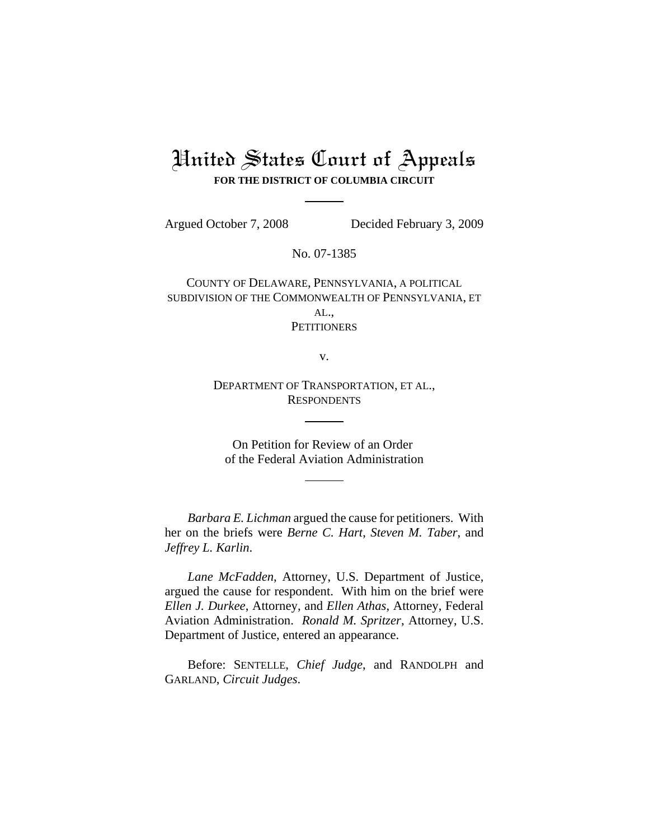# United States Court of Appeals **FOR THE DISTRICT OF COLUMBIA CIRCUIT**

Argued October 7, 2008 Decided February 3, 2009

No. 07-1385

COUNTY OF DELAWARE, PENNSYLVANIA, A POLITICAL SUBDIVISION OF THE COMMONWEALTH OF PENNSYLVANIA, ET AL., **PETITIONERS** 

v.

DEPARTMENT OF TRANSPORTATION, ET AL., **RESPONDENTS** 

On Petition for Review of an Order of the Federal Aviation Administration

*Barbara E. Lichman* argued the cause for petitioners. With her on the briefs were *Berne C. Hart*, *Steven M. Taber*, and *Jeffrey L. Karlin*.

*Lane McFadden*, Attorney, U.S. Department of Justice, argued the cause for respondent. With him on the brief were *Ellen J. Durkee*, Attorney, and *Ellen Athas*, Attorney, Federal Aviation Administration. *Ronald M. Spritzer*, Attorney, U.S. Department of Justice, entered an appearance.

Before: SENTELLE, *Chief Judge*, and RANDOLPH and GARLAND, *Circuit Judges*.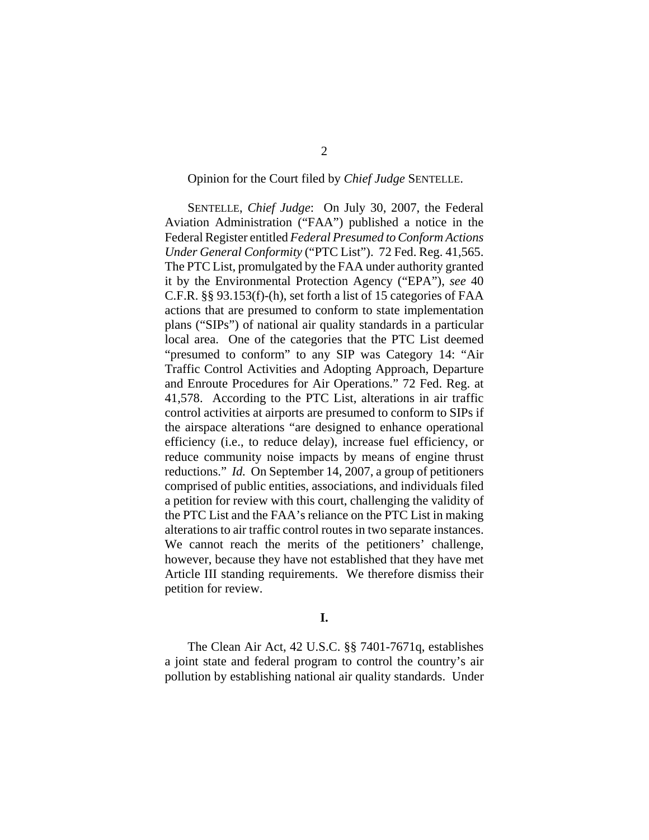#### Opinion for the Court filed by *Chief Judge* SENTELLE.

SENTELLE, *Chief Judge*: On July 30, 2007, the Federal Aviation Administration ("FAA") published a notice in the Federal Register entitled *Federal Presumed to Conform Actions Under General Conformity* ("PTC List"). 72 Fed. Reg. 41,565. The PTC List, promulgated by the FAA under authority granted it by the Environmental Protection Agency ("EPA"), *see* 40 C.F.R. §§ 93.153(f)-(h), set forth a list of 15 categories of FAA actions that are presumed to conform to state implementation plans ("SIPs") of national air quality standards in a particular local area. One of the categories that the PTC List deemed "presumed to conform" to any SIP was Category 14: "Air Traffic Control Activities and Adopting Approach, Departure and Enroute Procedures for Air Operations." 72 Fed. Reg. at 41,578. According to the PTC List, alterations in air traffic control activities at airports are presumed to conform to SIPs if the airspace alterations "are designed to enhance operational efficiency (i.e., to reduce delay), increase fuel efficiency, or reduce community noise impacts by means of engine thrust reductions." *Id.* On September 14, 2007, a group of petitioners comprised of public entities, associations, and individuals filed a petition for review with this court, challenging the validity of the PTC List and the FAA's reliance on the PTC List in making alterations to air traffic control routes in two separate instances. We cannot reach the merits of the petitioners' challenge, however, because they have not established that they have met Article III standing requirements. We therefore dismiss their petition for review.

## **I.**

The Clean Air Act, 42 U.S.C. §§ 7401-7671q, establishes a joint state and federal program to control the country's air pollution by establishing national air quality standards. Under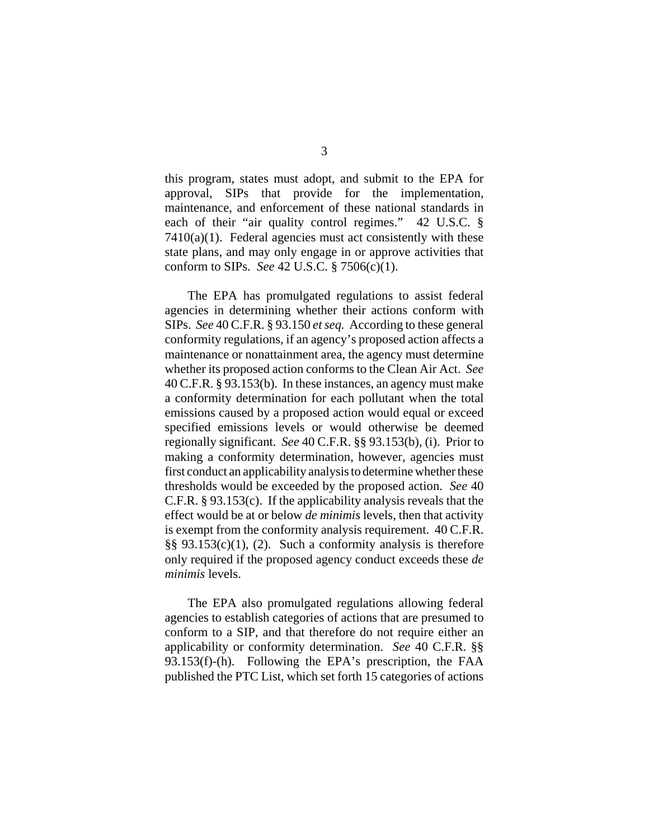this program, states must adopt, and submit to the EPA for approval, SIPs that provide for the implementation, maintenance, and enforcement of these national standards in each of their "air quality control regimes." 42 U.S.C. §  $7410(a)(1)$ . Federal agencies must act consistently with these state plans, and may only engage in or approve activities that conform to SIPs. *See* 42 U.S.C. § 7506(c)(1).

The EPA has promulgated regulations to assist federal agencies in determining whether their actions conform with SIPs. *See* 40 C.F.R. § 93.150 *et seq.* According to these general conformity regulations, if an agency's proposed action affects a maintenance or nonattainment area, the agency must determine whether its proposed action conforms to the Clean Air Act. *See* 40 C.F.R. § 93.153(b). In these instances, an agency must make a conformity determination for each pollutant when the total emissions caused by a proposed action would equal or exceed specified emissions levels or would otherwise be deemed regionally significant. *See* 40 C.F.R. §§ 93.153(b), (i). Prior to making a conformity determination, however, agencies must first conduct an applicability analysis to determine whether these thresholds would be exceeded by the proposed action. *See* 40 C.F.R. § 93.153(c). If the applicability analysis reveals that the effect would be at or below *de minimis* levels, then that activity is exempt from the conformity analysis requirement. 40 C.F.R.  $\S$ § 93.153(c)(1), (2). Such a conformity analysis is therefore only required if the proposed agency conduct exceeds these *de minimis* levels.

The EPA also promulgated regulations allowing federal agencies to establish categories of actions that are presumed to conform to a SIP, and that therefore do not require either an applicability or conformity determination. *See* 40 C.F.R. §§ 93.153(f)-(h). Following the EPA's prescription, the FAA published the PTC List, which set forth 15 categories of actions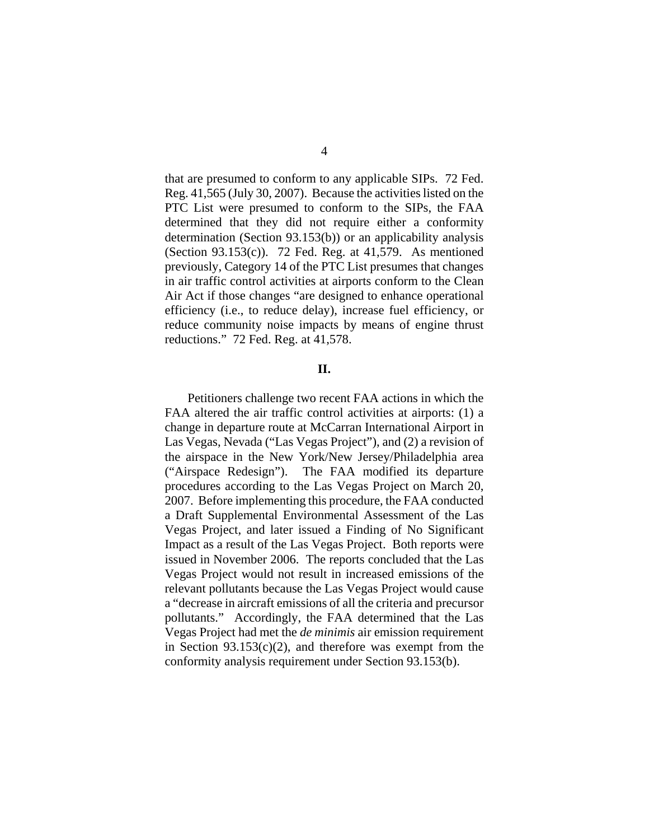that are presumed to conform to any applicable SIPs. 72 Fed. Reg. 41,565 (July 30, 2007). Because the activities listed on the PTC List were presumed to conform to the SIPs, the FAA determined that they did not require either a conformity determination (Section 93.153(b)) or an applicability analysis (Section 93.153(c)). 72 Fed. Reg. at 41,579. As mentioned previously, Category 14 of the PTC List presumes that changes in air traffic control activities at airports conform to the Clean Air Act if those changes "are designed to enhance operational efficiency (i.e., to reduce delay), increase fuel efficiency, or reduce community noise impacts by means of engine thrust reductions." 72 Fed. Reg. at 41,578.

#### **II.**

Petitioners challenge two recent FAA actions in which the FAA altered the air traffic control activities at airports: (1) a change in departure route at McCarran International Airport in Las Vegas, Nevada ("Las Vegas Project"), and (2) a revision of the airspace in the New York/New Jersey/Philadelphia area ("Airspace Redesign"). The FAA modified its departure procedures according to the Las Vegas Project on March 20, 2007. Before implementing this procedure, the FAA conducted a Draft Supplemental Environmental Assessment of the Las Vegas Project, and later issued a Finding of No Significant Impact as a result of the Las Vegas Project. Both reports were issued in November 2006. The reports concluded that the Las Vegas Project would not result in increased emissions of the relevant pollutants because the Las Vegas Project would cause a "decrease in aircraft emissions of all the criteria and precursor pollutants." Accordingly, the FAA determined that the Las Vegas Project had met the *de minimis* air emission requirement in Section  $93.153(c)(2)$ , and therefore was exempt from the conformity analysis requirement under Section 93.153(b).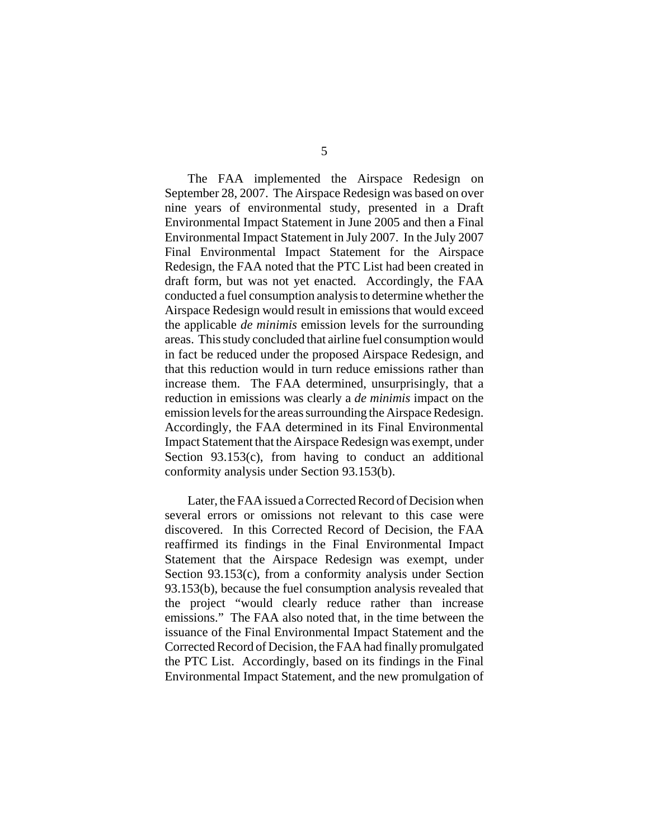The FAA implemented the Airspace Redesign on September 28, 2007. The Airspace Redesign was based on over nine years of environmental study, presented in a Draft Environmental Impact Statement in June 2005 and then a Final Environmental Impact Statement in July 2007. In the July 2007 Final Environmental Impact Statement for the Airspace Redesign, the FAA noted that the PTC List had been created in draft form, but was not yet enacted. Accordingly, the FAA conducted a fuel consumption analysis to determine whether the Airspace Redesign would result in emissions that would exceed the applicable *de minimis* emission levels for the surrounding areas. This study concluded that airline fuel consumption would in fact be reduced under the proposed Airspace Redesign, and that this reduction would in turn reduce emissions rather than increase them. The FAA determined, unsurprisingly, that a reduction in emissions was clearly a *de minimis* impact on the emission levels for the areas surrounding the Airspace Redesign. Accordingly, the FAA determined in its Final Environmental Impact Statement that the Airspace Redesign was exempt, under Section 93.153(c), from having to conduct an additional conformity analysis under Section 93.153(b).

Later, the FAA issued a Corrected Record of Decision when several errors or omissions not relevant to this case were discovered. In this Corrected Record of Decision, the FAA reaffirmed its findings in the Final Environmental Impact Statement that the Airspace Redesign was exempt, under Section 93.153(c), from a conformity analysis under Section 93.153(b), because the fuel consumption analysis revealed that the project "would clearly reduce rather than increase emissions." The FAA also noted that, in the time between the issuance of the Final Environmental Impact Statement and the Corrected Record of Decision, the FAA had finally promulgated the PTC List. Accordingly, based on its findings in the Final Environmental Impact Statement, and the new promulgation of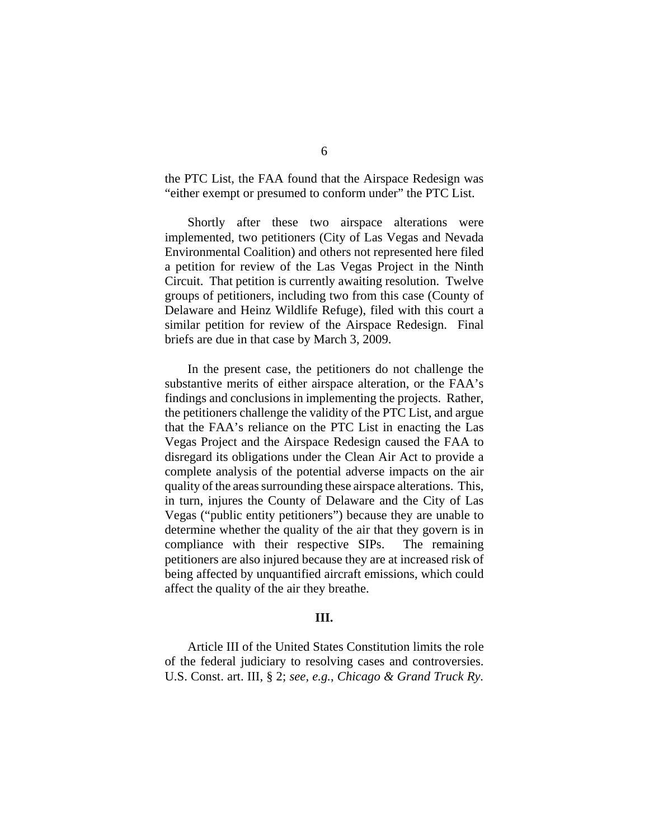the PTC List, the FAA found that the Airspace Redesign was "either exempt or presumed to conform under" the PTC List.

Shortly after these two airspace alterations were implemented, two petitioners (City of Las Vegas and Nevada Environmental Coalition) and others not represented here filed a petition for review of the Las Vegas Project in the Ninth Circuit. That petition is currently awaiting resolution. Twelve groups of petitioners, including two from this case (County of Delaware and Heinz Wildlife Refuge), filed with this court a similar petition for review of the Airspace Redesign. Final briefs are due in that case by March 3, 2009.

In the present case, the petitioners do not challenge the substantive merits of either airspace alteration, or the FAA's findings and conclusions in implementing the projects. Rather, the petitioners challenge the validity of the PTC List, and argue that the FAA's reliance on the PTC List in enacting the Las Vegas Project and the Airspace Redesign caused the FAA to disregard its obligations under the Clean Air Act to provide a complete analysis of the potential adverse impacts on the air quality of the areas surrounding these airspace alterations. This, in turn, injures the County of Delaware and the City of Las Vegas ("public entity petitioners") because they are unable to determine whether the quality of the air that they govern is in compliance with their respective SIPs. The remaining petitioners are also injured because they are at increased risk of being affected by unquantified aircraft emissions, which could affect the quality of the air they breathe.

## **III.**

Article III of the United States Constitution limits the role of the federal judiciary to resolving cases and controversies. U.S. Const. art. III, § 2; *see, e.g.*, *Chicago & Grand Truck Ry.*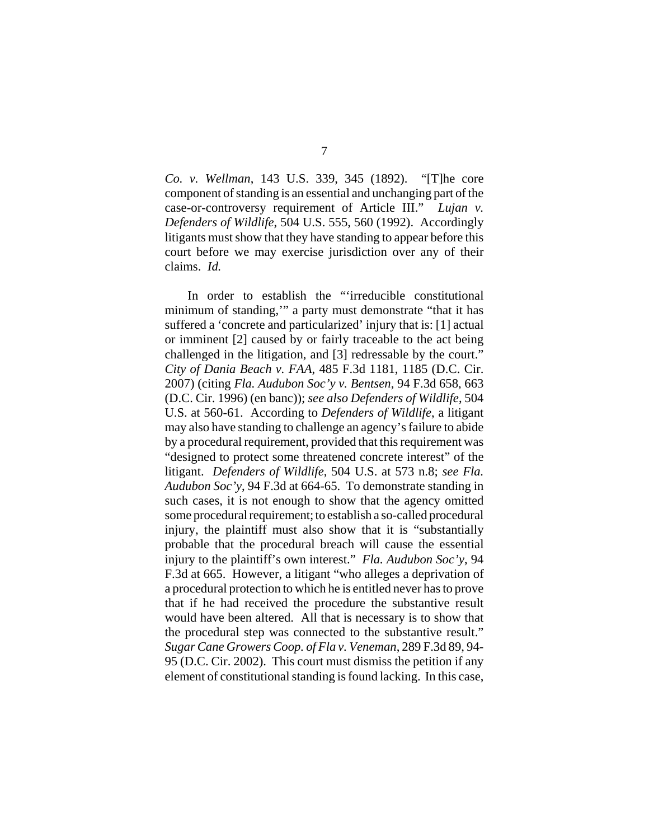*Co. v. Wellman*, 143 U.S. 339, 345 (1892). "[T]he core component of standing is an essential and unchanging part of the case-or-controversy requirement of Article III." *Lujan v. Defenders of Wildlife*, 504 U.S. 555, 560 (1992). Accordingly litigants must show that they have standing to appear before this court before we may exercise jurisdiction over any of their claims. *Id.*

In order to establish the "'irreducible constitutional minimum of standing,'" a party must demonstrate "that it has suffered a 'concrete and particularized' injury that is: [1] actual or imminent [2] caused by or fairly traceable to the act being challenged in the litigation, and [3] redressable by the court." *City of Dania Beach v. FAA*, 485 F.3d 1181, 1185 (D.C. Cir. 2007) (citing *Fla. Audubon Soc'y v. Bentsen*, 94 F.3d 658, 663 (D.C. Cir. 1996) (en banc)); *see also Defenders of Wildlife*, 504 U.S. at 560-61. According to *Defenders of Wildlife*, a litigant may also have standing to challenge an agency's failure to abide by a procedural requirement, provided that this requirement was "designed to protect some threatened concrete interest" of the litigant. *Defenders of Wildlife*, 504 U.S. at 573 n.8; *see Fla. Audubon Soc'y*, 94 F.3d at 664-65. To demonstrate standing in such cases, it is not enough to show that the agency omitted some procedural requirement; to establish a so-called procedural injury, the plaintiff must also show that it is "substantially probable that the procedural breach will cause the essential injury to the plaintiff's own interest." *Fla. Audubon Soc'y*, 94 F.3d at 665. However, a litigant "who alleges a deprivation of a procedural protection to which he is entitled never has to prove that if he had received the procedure the substantive result would have been altered. All that is necessary is to show that the procedural step was connected to the substantive result." *Sugar Cane Growers Coop. of Fla v. Veneman*, 289 F.3d 89, 94- 95 (D.C. Cir. 2002). This court must dismiss the petition if any element of constitutional standing is found lacking. In this case,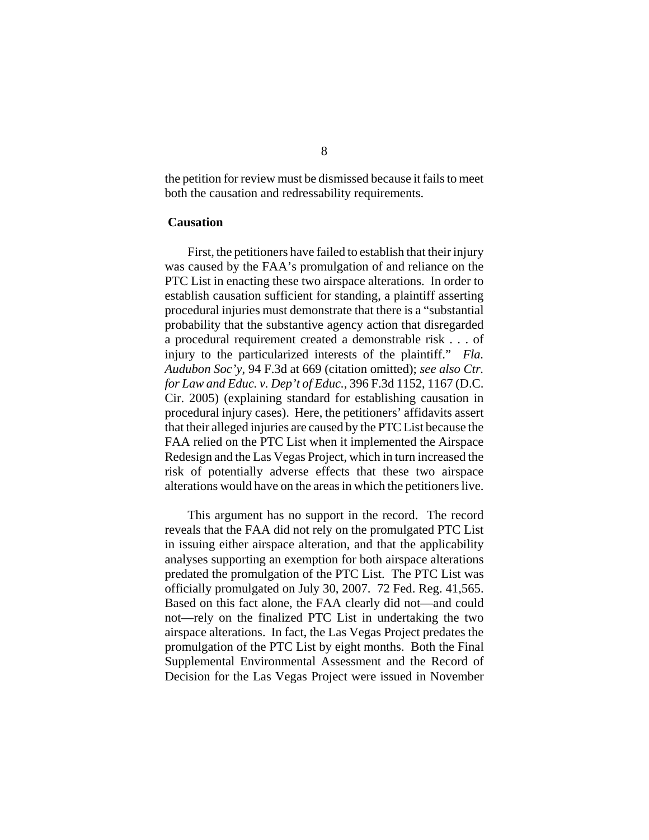the petition for review must be dismissed because it fails to meet both the causation and redressability requirements.

## **Causation**

First, the petitioners have failed to establish that their injury was caused by the FAA's promulgation of and reliance on the PTC List in enacting these two airspace alterations. In order to establish causation sufficient for standing, a plaintiff asserting procedural injuries must demonstrate that there is a "substantial probability that the substantive agency action that disregarded a procedural requirement created a demonstrable risk . . . of injury to the particularized interests of the plaintiff." *Fla. Audubon Soc'y*, 94 F.3d at 669 (citation omitted); *see also Ctr. for Law and Educ. v. Dep't of Educ.*, 396 F.3d 1152, 1167 (D.C. Cir. 2005) (explaining standard for establishing causation in procedural injury cases). Here, the petitioners' affidavits assert that their alleged injuries are caused by the PTC List because the FAA relied on the PTC List when it implemented the Airspace Redesign and the Las Vegas Project, which in turn increased the risk of potentially adverse effects that these two airspace alterations would have on the areas in which the petitioners live.

This argument has no support in the record. The record reveals that the FAA did not rely on the promulgated PTC List in issuing either airspace alteration, and that the applicability analyses supporting an exemption for both airspace alterations predated the promulgation of the PTC List. The PTC List was officially promulgated on July 30, 2007. 72 Fed. Reg. 41,565. Based on this fact alone, the FAA clearly did not—and could not—rely on the finalized PTC List in undertaking the two airspace alterations. In fact, the Las Vegas Project predates the promulgation of the PTC List by eight months. Both the Final Supplemental Environmental Assessment and the Record of Decision for the Las Vegas Project were issued in November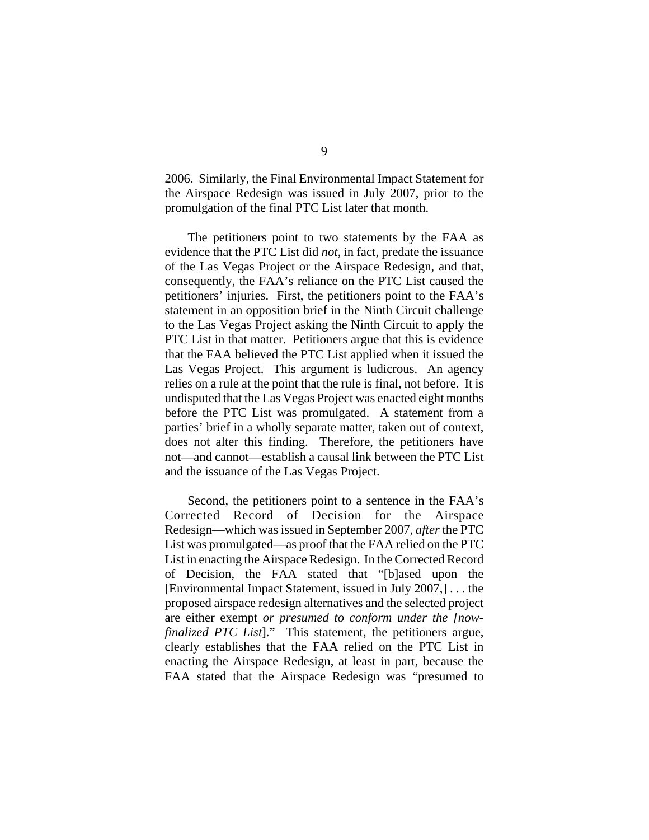2006. Similarly, the Final Environmental Impact Statement for the Airspace Redesign was issued in July 2007, prior to the promulgation of the final PTC List later that month.

The petitioners point to two statements by the FAA as evidence that the PTC List did *not*, in fact, predate the issuance of the Las Vegas Project or the Airspace Redesign, and that, consequently, the FAA's reliance on the PTC List caused the petitioners' injuries. First, the petitioners point to the FAA's statement in an opposition brief in the Ninth Circuit challenge to the Las Vegas Project asking the Ninth Circuit to apply the PTC List in that matter. Petitioners argue that this is evidence that the FAA believed the PTC List applied when it issued the Las Vegas Project. This argument is ludicrous. An agency relies on a rule at the point that the rule is final, not before. It is undisputed that the Las Vegas Project was enacted eight months before the PTC List was promulgated. A statement from a parties' brief in a wholly separate matter, taken out of context, does not alter this finding. Therefore, the petitioners have not—and cannot—establish a causal link between the PTC List and the issuance of the Las Vegas Project.

Second, the petitioners point to a sentence in the FAA's Corrected Record of Decision for the Airspace Redesign—which was issued in September 2007, *after* the PTC List was promulgated—as proof that the FAA relied on the PTC List in enacting the Airspace Redesign. In the Corrected Record of Decision, the FAA stated that "[b]ased upon the [Environmental Impact Statement, issued in July 2007,] . . . the proposed airspace redesign alternatives and the selected project are either exempt *or presumed to conform under the [nowfinalized PTC List*]." This statement, the petitioners argue, clearly establishes that the FAA relied on the PTC List in enacting the Airspace Redesign, at least in part, because the FAA stated that the Airspace Redesign was "presumed to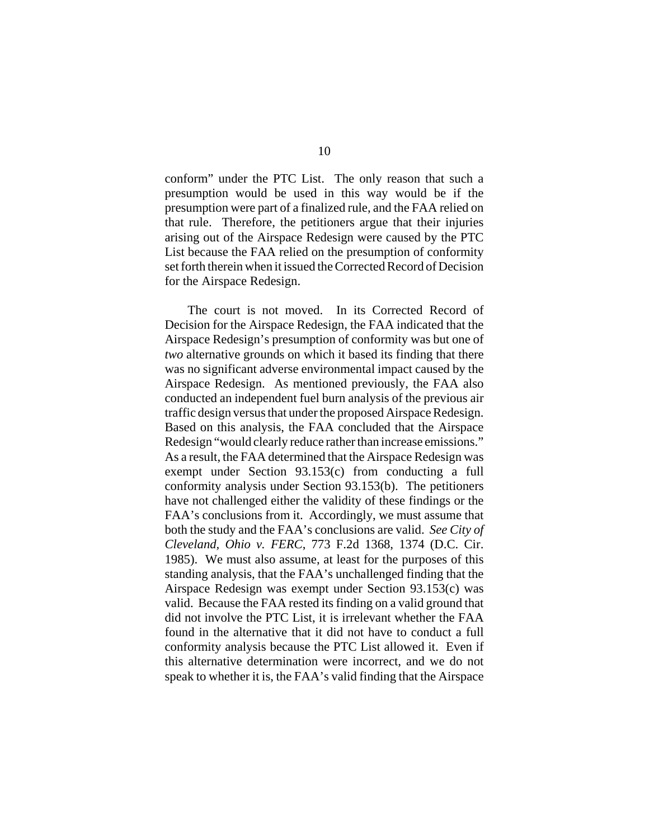conform" under the PTC List. The only reason that such a presumption would be used in this way would be if the presumption were part of a finalized rule, and the FAA relied on that rule. Therefore, the petitioners argue that their injuries arising out of the Airspace Redesign were caused by the PTC List because the FAA relied on the presumption of conformity set forth therein when it issued the Corrected Record of Decision for the Airspace Redesign.

The court is not moved. In its Corrected Record of Decision for the Airspace Redesign, the FAA indicated that the Airspace Redesign's presumption of conformity was but one of *two* alternative grounds on which it based its finding that there was no significant adverse environmental impact caused by the Airspace Redesign. As mentioned previously, the FAA also conducted an independent fuel burn analysis of the previous air traffic design versus that under the proposed Airspace Redesign. Based on this analysis, the FAA concluded that the Airspace Redesign "would clearly reduce rather than increase emissions." As a result, the FAA determined that the Airspace Redesign was exempt under Section 93.153(c) from conducting a full conformity analysis under Section 93.153(b). The petitioners have not challenged either the validity of these findings or the FAA's conclusions from it. Accordingly, we must assume that both the study and the FAA's conclusions are valid. *See City of Cleveland, Ohio v. FERC*, 773 F.2d 1368, 1374 (D.C. Cir. 1985). We must also assume, at least for the purposes of this standing analysis, that the FAA's unchallenged finding that the Airspace Redesign was exempt under Section 93.153(c) was valid. Because the FAA rested its finding on a valid ground that did not involve the PTC List, it is irrelevant whether the FAA found in the alternative that it did not have to conduct a full conformity analysis because the PTC List allowed it. Even if this alternative determination were incorrect, and we do not speak to whether it is, the FAA's valid finding that the Airspace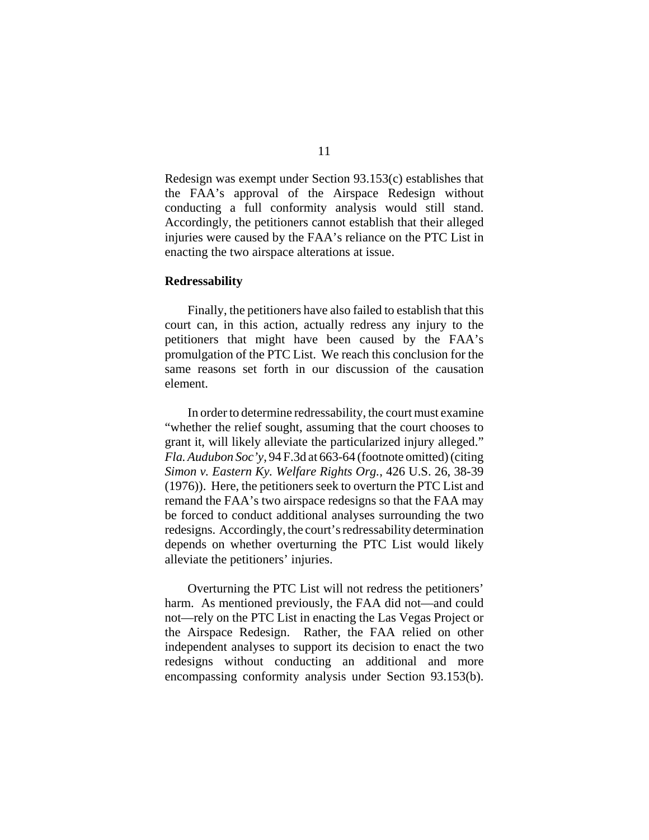Redesign was exempt under Section 93.153(c) establishes that the FAA's approval of the Airspace Redesign without conducting a full conformity analysis would still stand. Accordingly, the petitioners cannot establish that their alleged injuries were caused by the FAA's reliance on the PTC List in enacting the two airspace alterations at issue.

## **Redressability**

Finally, the petitioners have also failed to establish that this court can, in this action, actually redress any injury to the petitioners that might have been caused by the FAA's promulgation of the PTC List. We reach this conclusion for the same reasons set forth in our discussion of the causation element.

In order to determine redressability, the court must examine "whether the relief sought, assuming that the court chooses to grant it, will likely alleviate the particularized injury alleged." *Fla. Audubon Soc'y*, 94 F.3d at 663-64 (footnote omitted) (citing *Simon v. Eastern Ky. Welfare Rights Org.*, 426 U.S. 26, 38-39 (1976)). Here, the petitioners seek to overturn the PTC List and remand the FAA's two airspace redesigns so that the FAA may be forced to conduct additional analyses surrounding the two redesigns. Accordingly, the court's redressability determination depends on whether overturning the PTC List would likely alleviate the petitioners' injuries.

Overturning the PTC List will not redress the petitioners' harm. As mentioned previously, the FAA did not—and could not—rely on the PTC List in enacting the Las Vegas Project or the Airspace Redesign. Rather, the FAA relied on other independent analyses to support its decision to enact the two redesigns without conducting an additional and more encompassing conformity analysis under Section 93.153(b).